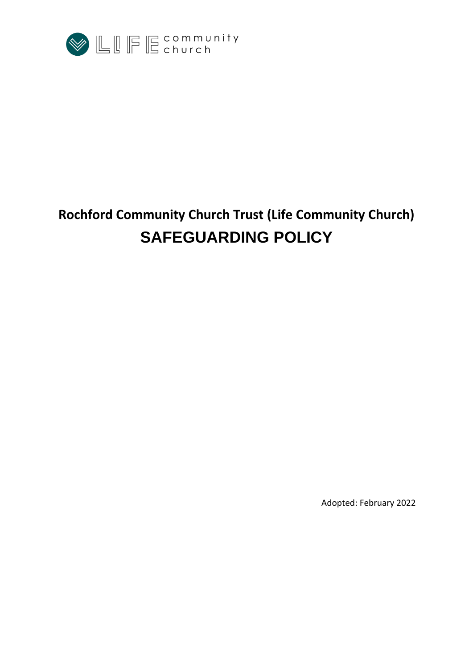

# **Rochford Community Church Trust (Life Community Church) SAFEGUARDING POLICY**

Adopted: February 2022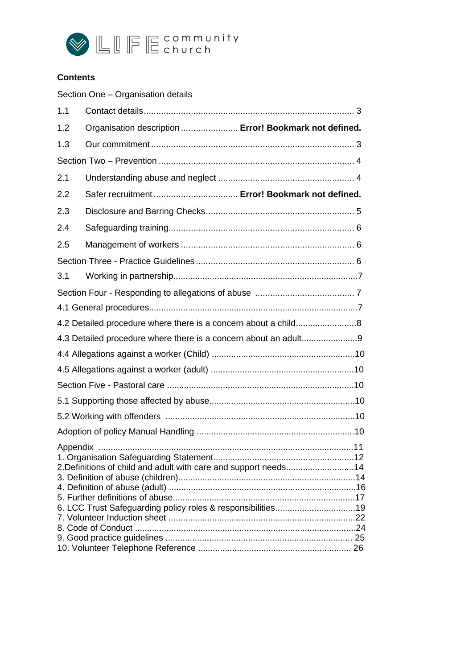

# **Contents**

|     | Section One - Organisation details                                          |  |
|-----|-----------------------------------------------------------------------------|--|
| 1.1 |                                                                             |  |
| 1.2 | Organisation description  Error! Bookmark not defined.                      |  |
| 1.3 |                                                                             |  |
|     |                                                                             |  |
| 2.1 |                                                                             |  |
| 2.2 | Safer recruitment  Error! Bookmark not defined.                             |  |
| 2.3 |                                                                             |  |
| 2.4 |                                                                             |  |
| 2.5 |                                                                             |  |
|     |                                                                             |  |
| 3.1 |                                                                             |  |
|     |                                                                             |  |
|     |                                                                             |  |
|     |                                                                             |  |
|     |                                                                             |  |
|     |                                                                             |  |
|     |                                                                             |  |
|     |                                                                             |  |
|     |                                                                             |  |
|     |                                                                             |  |
|     |                                                                             |  |
|     | Appendix<br>2. Definitions of child and adult with care and support needs14 |  |
|     |                                                                             |  |
|     | 6. LCC Trust Safeguarding policy roles & responsibilities19                 |  |
|     |                                                                             |  |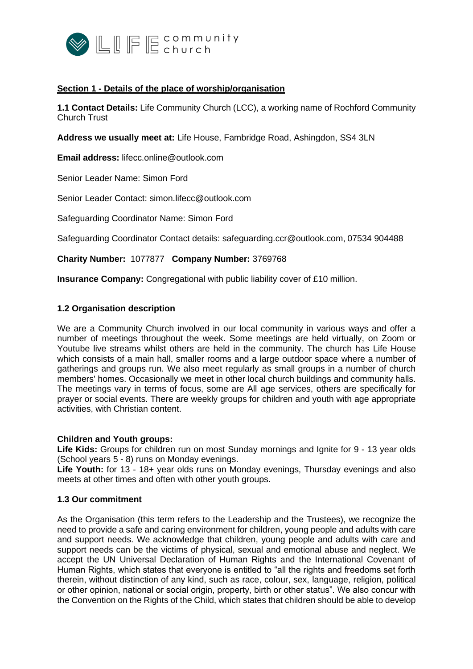

## **Section 1 - Details of the place of worship/organisation**

**1.1 Contact Details:** Life Community Church (LCC), a working name of Rochford Community Church Trust

**Address we usually meet at:** Life House, Fambridge Road, Ashingdon, SS4 3LN

**Email address:** lifecc.online@outlook.com

Senior Leader Name: Simon Ford

Senior Leader Contact: simon.lifecc@outlook.com

Safeguarding Coordinator Name: Simon Ford

Safeguarding Coordinator Contact details: safeguarding.ccr@outlook.com, 07534 904488

#### **Charity Number:** 1077877 **Company Number:** 3769768

**Insurance Company:** Congregational with public liability cover of £10 million.

### **1.2 Organisation description**

We are a Community Church involved in our local community in various ways and offer a number of meetings throughout the week. Some meetings are held virtually, on Zoom or Youtube live streams whilst others are held in the community. The church has Life House which consists of a main hall, smaller rooms and a large outdoor space where a number of gatherings and groups run. We also meet regularly as small groups in a number of church members' homes. Occasionally we meet in other local church buildings and community halls. The meetings vary in terms of focus, some are All age services, others are specifically for prayer or social events. There are weekly groups for children and youth with age appropriate activities, with Christian content.

#### **Children and Youth groups:**

**Life Kids:** Groups for children run on most Sunday mornings and Ignite for 9 - 13 year olds (School years 5 - 8) runs on Monday evenings.

**Life Youth:** for 13 - 18+ year olds runs on Monday evenings, Thursday evenings and also meets at other times and often with other youth groups.

# **1.3 Our commitment**

As the Organisation (this term refers to the Leadership and the Trustees), we recognize the need to provide a safe and caring environment for children, young people and adults with care and support needs. We acknowledge that children, young people and adults with care and support needs can be the victims of physical, sexual and emotional abuse and neglect. We accept the UN Universal Declaration of Human Rights and the International Covenant of Human Rights, which states that everyone is entitled to "all the rights and freedoms set forth therein, without distinction of any kind, such as race, colour, sex, language, religion, political or other opinion, national or social origin, property, birth or other status". We also concur with the Convention on the Rights of the Child, which states that children should be able to develop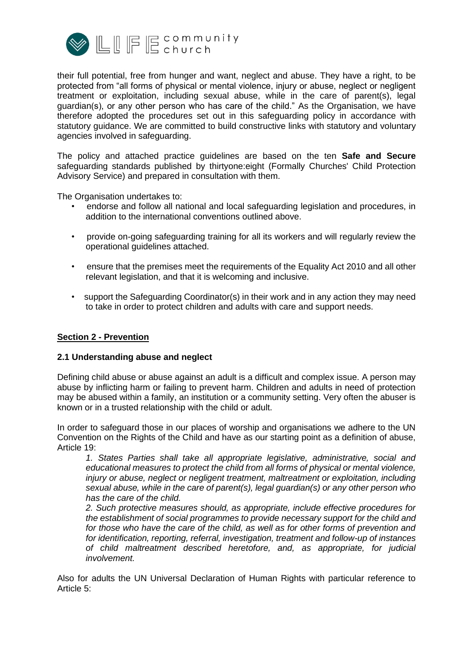

their full potential, free from hunger and want, neglect and abuse. They have a right, to be protected from "all forms of physical or mental violence, injury or abuse, neglect or negligent treatment or exploitation, including sexual abuse, while in the care of parent(s), legal guardian(s), or any other person who has care of the child." As the Organisation, we have therefore adopted the procedures set out in this safeguarding policy in accordance with statutory guidance. We are committed to build constructive links with statutory and voluntary agencies involved in safeguarding.

The policy and attached practice guidelines are based on the ten **Safe and Secure**  safeguarding standards published by thirtyone:eight (Formally Churches' Child Protection Advisory Service) and prepared in consultation with them.

The Organisation undertakes to:

- endorse and follow all national and local safeguarding legislation and procedures, in addition to the international conventions outlined above.
- provide on-going safeguarding training for all its workers and will regularly review the operational guidelines attached.
- ensure that the premises meet the requirements of the Equality Act 2010 and all other relevant legislation, and that it is welcoming and inclusive.
- support the Safeguarding Coordinator(s) in their work and in any action they may need to take in order to protect children and adults with care and support needs.

# **Section 2 - Prevention**

#### **2.1 Understanding abuse and neglect**

Defining child abuse or abuse against an adult is a difficult and complex issue. A person may abuse by inflicting harm or failing to prevent harm. Children and adults in need of protection may be abused within a family, an institution or a community setting. Very often the abuser is known or in a trusted relationship with the child or adult.

In order to safeguard those in our places of worship and organisations we adhere to the UN Convention on the Rights of the Child and have as our starting point as a definition of abuse, Article 19:

*1. States Parties shall take all appropriate legislative, administrative, social and educational measures to protect the child from all forms of physical or mental violence, injury or abuse, neglect or negligent treatment, maltreatment or exploitation, including sexual abuse, while in the care of parent(s), legal guardian(s) or any other person who has the care of the child.* 

*2. Such protective measures should, as appropriate, include effective procedures for the establishment of social programmes to provide necessary support for the child and for those who have the care of the child, as well as for other forms of prevention and for identification, reporting, referral, investigation, treatment and follow-up of instances of child maltreatment described heretofore, and, as appropriate, for judicial involvement.* 

Also for adults the UN Universal Declaration of Human Rights with particular reference to Article 5: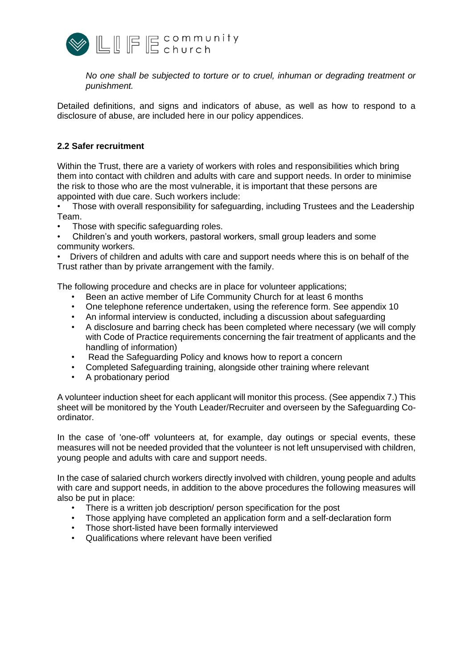

*No one shall be subjected to torture or to cruel, inhuman or degrading treatment or punishment.*

Detailed definitions, and signs and indicators of abuse, as well as how to respond to a disclosure of abuse, are included here in our policy appendices.

# **2.2 Safer recruitment**

Within the Trust, there are a variety of workers with roles and responsibilities which bring them into contact with children and adults with care and support needs. In order to minimise the risk to those who are the most vulnerable, it is important that these persons are appointed with due care. Such workers include:

• Those with overall responsibility for safeguarding, including Trustees and the Leadership Team.

Those with specific safeguarding roles.

• Children's and youth workers, pastoral workers, small group leaders and some community workers.

• Drivers of children and adults with care and support needs where this is on behalf of the Trust rather than by private arrangement with the family.

The following procedure and checks are in place for volunteer applications;

- Been an active member of Life Community Church for at least 6 months
- One telephone reference undertaken, using the reference form. See appendix 10
- An informal interview is conducted, including a discussion about safeguarding
- A disclosure and barring check has been completed where necessary (we will comply with Code of Practice requirements concerning the fair treatment of applicants and the handling of information)
- Read the Safeguarding Policy and knows how to report a concern
- Completed Safeguarding training, alongside other training where relevant
- A probationary period

A volunteer induction sheet for each applicant will monitor this process. (See appendix 7.) This sheet will be monitored by the Youth Leader/Recruiter and overseen by the Safeguarding Coordinator.

In the case of 'one-off' volunteers at, for example, day outings or special events, these measures will not be needed provided that the volunteer is not left unsupervised with children, young people and adults with care and support needs.

In the case of salaried church workers directly involved with children, young people and adults with care and support needs, in addition to the above procedures the following measures will also be put in place:

- There is a written job description/ person specification for the post
- Those applying have completed an application form and a self-declaration form
- Those short-listed have been formally interviewed
- Qualifications where relevant have been verified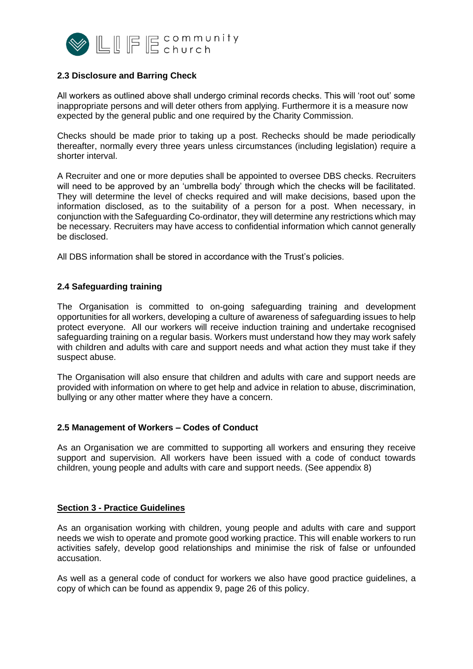

# **2.3 Disclosure and Barring Check**

All workers as outlined above shall undergo criminal records checks. This will 'root out' some inappropriate persons and will deter others from applying. Furthermore it is a measure now expected by the general public and one required by the Charity Commission.

Checks should be made prior to taking up a post. Rechecks should be made periodically thereafter, normally every three years unless circumstances (including legislation) require a shorter interval.

A Recruiter and one or more deputies shall be appointed to oversee DBS checks. Recruiters will need to be approved by an 'umbrella body' through which the checks will be facilitated. They will determine the level of checks required and will make decisions, based upon the information disclosed, as to the suitability of a person for a post. When necessary, in conjunction with the Safeguarding Co-ordinator, they will determine any restrictions which may be necessary. Recruiters may have access to confidential information which cannot generally be disclosed.

All DBS information shall be stored in accordance with the Trust's policies.

#### **2.4 Safeguarding training**

The Organisation is committed to on-going safeguarding training and development opportunities for all workers, developing a culture of awareness of safeguarding issues to help protect everyone. All our workers will receive induction training and undertake recognised safeguarding training on a regular basis. Workers must understand how they may work safely with children and adults with care and support needs and what action they must take if they suspect abuse.

The Organisation will also ensure that children and adults with care and support needs are provided with information on where to get help and advice in relation to abuse, discrimination, bullying or any other matter where they have a concern.

#### **2.5 Management of Workers – Codes of Conduct**

As an Organisation we are committed to supporting all workers and ensuring they receive support and supervision. All workers have been issued with a code of conduct towards children, young people and adults with care and support needs. (See appendix 8)

# **Section 3 - Practice Guidelines**

As an organisation working with children, young people and adults with care and support needs we wish to operate and promote good working practice. This will enable workers to run activities safely, develop good relationships and minimise the risk of false or unfounded accusation.

As well as a general code of conduct for workers we also have good practice guidelines, a copy of which can be found as appendix 9, page 26 of this policy.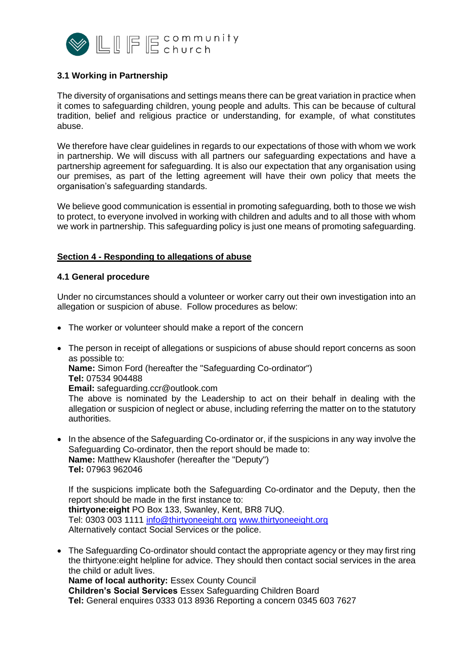

# **3.1 Working in Partnership**

The diversity of organisations and settings means there can be great variation in practice when it comes to safeguarding children, young people and adults. This can be because of cultural tradition, belief and religious practice or understanding, for example, of what constitutes abuse.

We therefore have clear guidelines in regards to our expectations of those with whom we work in partnership. We will discuss with all partners our safeguarding expectations and have a partnership agreement for safeguarding. It is also our expectation that any organisation using our premises, as part of the letting agreement will have their own policy that meets the organisation's safeguarding standards.

We believe good communication is essential in promoting safeguarding, both to those we wish to protect, to everyone involved in working with children and adults and to all those with whom we work in partnership. This safeguarding policy is just one means of promoting safeguarding.

# **Section 4 - Responding to allegations of abuse**

#### **4.1 General procedure**

Under no circumstances should a volunteer or worker carry out their own investigation into an allegation or suspicion of abuse. Follow procedures as below:

- The worker or volunteer should make a report of the concern
- The person in receipt of allegations or suspicions of abuse should report concerns as soon as possible to:
	- **Name:** Simon Ford (hereafter the "Safeguarding Co-ordinator")
	- **Tel:** 07534 904488
	- **Email:** safeguarding.ccr@outlook.com
	- The above is nominated by the Leadership to act on their behalf in dealing with the allegation or suspicion of neglect or abuse, including referring the matter on to the statutory authorities.
- In the absence of the Safeguarding Co-ordinator or, if the suspicions in any way involve the Safeguarding Co-ordinator, then the report should be made to: **Name:** Matthew Klaushofer (hereafter the "Deputy") **Tel:** 07963 962046

If the suspicions implicate both the Safeguarding Co-ordinator and the Deputy, then the report should be made in the first instance to: **thirtyone:eight** PO Box 133, Swanley, Kent, BR8 7UQ. Tel: 0303 003 1111 [info@thirtyoneeight.org](mailto:info@thirtyoneeight.org) [www.thirtyoneeight.org](http://www.thirtyoneeight.org/)

Alternatively contact Social Services or the police.

• The Safeguarding Co-ordinator should contact the appropriate agency or they may first ring the thirtyone:eight helpline for advice. They should then contact social services in the area the child or adult lives.

**Name of local authority:** Essex County Council **Children's Social Services** Essex Safeguarding Children Board **Tel:** General enquires 0333 013 8936 Reporting a concern 0345 603 7627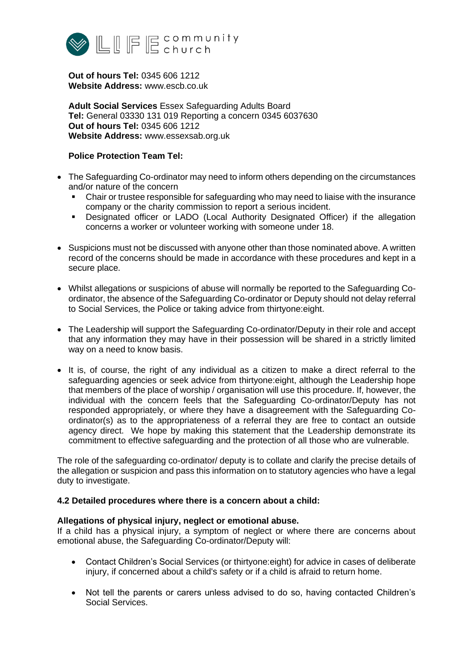

**Out of hours Tel:** 0345 606 1212 **Website Address:** www.escb.co.uk

**Adult Social Services** Essex Safeguarding Adults Board **Tel:** General 03330 131 019 Reporting a concern 0345 6037630 **Out of hours [Tel:](tel:0345)** 0345 606 1212 **Website Address:** www.essexsab.org.uk

# **Police Protection Team Tel:**

- The Safeguarding Co-ordinator may need to inform others depending on the circumstances and/or nature of the concern
	- Chair or trustee responsible for safeguarding who may need to liaise with the insurance company or the charity commission to report a serious incident.
	- Designated officer or LADO (Local Authority Designated Officer) if the allegation concerns a worker or volunteer working with someone under 18.
- Suspicions must not be discussed with anyone other than those nominated above. A written record of the concerns should be made in accordance with these procedures and kept in a secure place.
- Whilst allegations or suspicions of abuse will normally be reported to the Safeguarding Coordinator, the absence of the Safeguarding Co-ordinator or Deputy should not delay referral to Social Services, the Police or taking advice from thirtyone:eight.
- The Leadership will support the Safeguarding Co-ordinator/Deputy in their role and accept that any information they may have in their possession will be shared in a strictly limited way on a need to know basis.
- It is, of course, the right of any individual as a citizen to make a direct referral to the safeguarding agencies or seek advice from thirtyone:eight, although the Leadership hope that members of the place of worship / organisation will use this procedure. If, however, the individual with the concern feels that the Safeguarding Co-ordinator/Deputy has not responded appropriately, or where they have a disagreement with the Safeguarding Coordinator(s) as to the appropriateness of a referral they are free to contact an outside agency direct. We hope by making this statement that the Leadership demonstrate its commitment to effective safeguarding and the protection of all those who are vulnerable.

The role of the safeguarding co-ordinator/ deputy is to collate and clarify the precise details of the allegation or suspicion and pass this information on to statutory agencies who have a legal duty to investigate.

# **4.2 Detailed procedures where there is a concern about a child:**

#### **Allegations of physical injury, neglect or emotional abuse.**

If a child has a physical injury, a symptom of neglect or where there are concerns about emotional abuse, the Safeguarding Co-ordinator/Deputy will:

- Contact Children's Social Services (or thirtyone:eight) for advice in cases of deliberate injury, if concerned about a child's safety or if a child is afraid to return home.
- Not tell the parents or carers unless advised to do so, having contacted Children's Social Services.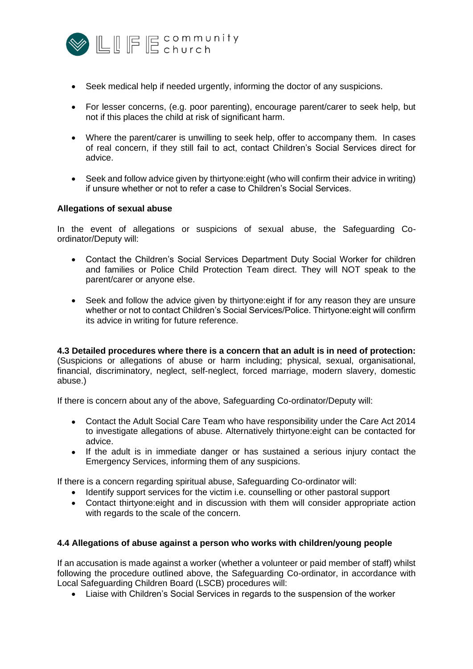

- Seek medical help if needed urgently, informing the doctor of any suspicions.
- For lesser concerns, (e.g. poor parenting), encourage parent/carer to seek help, but not if this places the child at risk of significant harm.
- Where the parent/carer is unwilling to seek help, offer to accompany them. In cases of real concern, if they still fail to act, contact Children's Social Services direct for advice.
- Seek and follow advice given by thirtyone:eight (who will confirm their advice in writing) if unsure whether or not to refer a case to Children's Social Services.

#### **Allegations of sexual abuse**

In the event of allegations or suspicions of sexual abuse, the Safeguarding Coordinator/Deputy will:

- Contact the Children's Social Services Department Duty Social Worker for children and families or Police Child Protection Team direct. They will NOT speak to the parent/carer or anyone else.
- Seek and follow the advice given by thirtyone:eight if for any reason they are unsure whether or not to contact Children's Social Services/Police. Thirtyone:eight will confirm its advice in writing for future reference.

**4.3 Detailed procedures where there is a concern that an adult is in need of protection:** (Suspicions or allegations of abuse or harm including; physical, sexual, organisational, financial, discriminatory, neglect, self-neglect, forced marriage, modern slavery, domestic abuse.)

If there is concern about any of the above, Safeguarding Co-ordinator/Deputy will:

- Contact the Adult Social Care Team who have responsibility under the Care Act 2014 to investigate allegations of abuse. Alternatively thirtyone:eight can be contacted for advice.
- If the adult is in immediate danger or has sustained a serious injury contact the Emergency Services, informing them of any suspicions.

If there is a concern regarding spiritual abuse, Safeguarding Co-ordinator will:

- Identify support services for the victim i.e. counselling or other pastoral support
- Contact thirtyone:eight and in discussion with them will consider appropriate action with regards to the scale of the concern.

### **4.4 Allegations of abuse against a person who works with children/young people**

If an accusation is made against a worker (whether a volunteer or paid member of staff) whilst following the procedure outlined above, the Safeguarding Co-ordinator, in accordance with Local Safeguarding Children Board (LSCB) procedures will:

• Liaise with Children's Social Services in regards to the suspension of the worker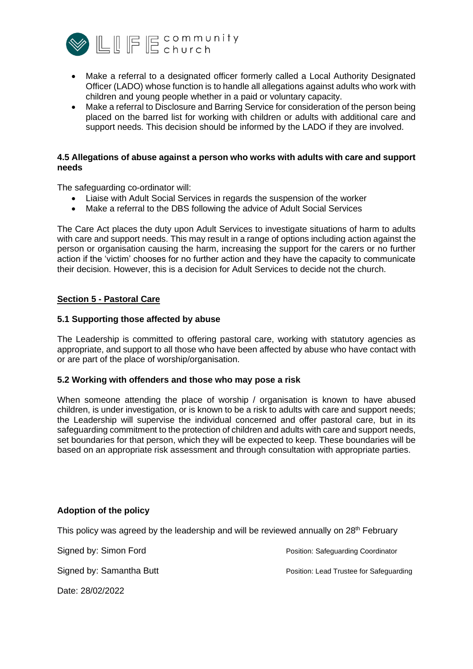

- Make a referral to a designated officer formerly called a Local Authority Designated Officer (LADO) whose function is to handle all allegations against adults who work with children and young people whether in a paid or voluntary capacity.
- Make a referral to Disclosure and Barring Service for consideration of the person being placed on the barred list for working with children or adults with additional care and support needs. This decision should be informed by the LADO if they are involved.

#### **4.5 Allegations of abuse against a person who works with adults with care and support needs**

The safeguarding co-ordinator will:

- Liaise with Adult Social Services in regards the suspension of the worker
- Make a referral to the DBS following the advice of Adult Social Services

The Care Act places the duty upon Adult Services to investigate situations of harm to adults with care and support needs. This may result in a range of options including action against the person or organisation causing the harm, increasing the support for the carers or no further action if the 'victim' chooses for no further action and they have the capacity to communicate their decision. However, this is a decision for Adult Services to decide not the church.

# **Section 5 - Pastoral Care**

#### **5.1 Supporting those affected by abuse**

The Leadership is committed to offering pastoral care, working with statutory agencies as appropriate, and support to all those who have been affected by abuse who have contact with or are part of the place of worship/organisation.

#### **5.2 Working with offenders and those who may pose a risk**

When someone attending the place of worship / organisation is known to have abused children, is under investigation, or is known to be a risk to adults with care and support needs; the Leadership will supervise the individual concerned and offer pastoral care, but in its safeguarding commitment to the protection of children and adults with care and support needs, set boundaries for that person, which they will be expected to keep. These boundaries will be based on an appropriate risk assessment and through consultation with appropriate parties.

# **Adoption of the policy**

This policy was agreed by the leadership and will be reviewed annually on  $28<sup>th</sup>$  February

Signed by: Simon Ford **Position: Safeguarding Coordinator** Position: Safeguarding Coordinator

Date: 28/02/2022

Signed by: Samantha Butt **Properties and Trustee for Safeguarding** Position: Lead Trustee for Safeguarding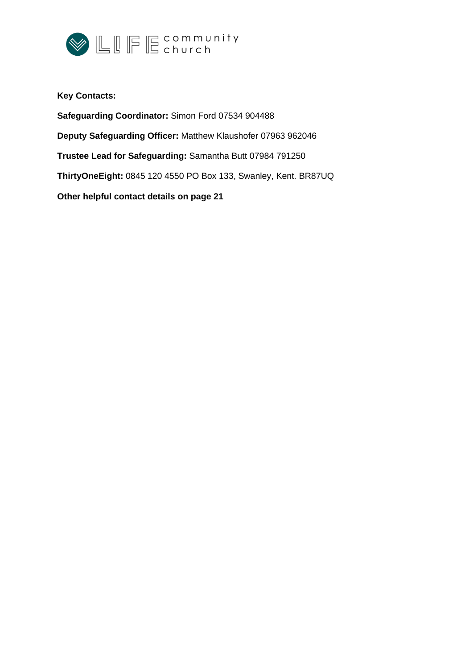

**Key Contacts:**

**Safeguarding Coordinator:** Simon Ford 07534 904488 **Deputy Safeguarding Officer:** Matthew Klaushofer 07963 962046 **Trustee Lead for Safeguarding:** Samantha Butt 07984 791250 **ThirtyOneEight:** 0845 120 4550 PO Box 133, Swanley, Kent. BR87UQ **Other helpful contact details on page 21**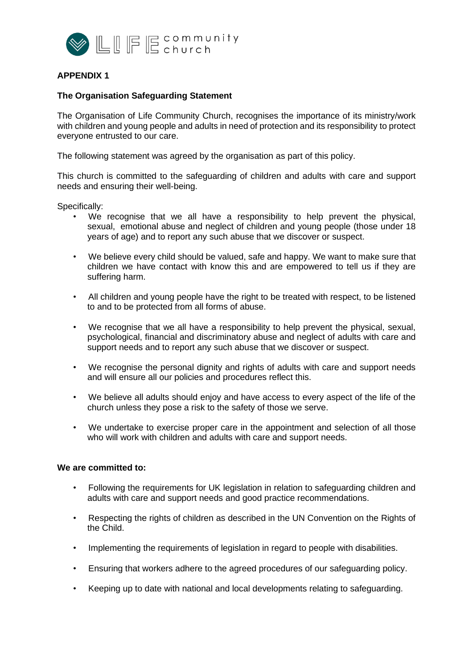

## **APPENDIX 1**

#### **The Organisation Safeguarding Statement**

The Organisation of Life Community Church, recognises the importance of its ministry/work with children and young people and adults in need of protection and its responsibility to protect everyone entrusted to our care.

The following statement was agreed by the organisation as part of this policy.

This church is committed to the safeguarding of children and adults with care and support needs and ensuring their well-being.

Specifically:

- We recognise that we all have a responsibility to help prevent the physical, sexual, emotional abuse and neglect of children and young people (those under 18 years of age) and to report any such abuse that we discover or suspect.
- We believe every child should be valued, safe and happy. We want to make sure that children we have contact with know this and are empowered to tell us if they are suffering harm.
- All children and young people have the right to be treated with respect, to be listened to and to be protected from all forms of abuse.
- We recognise that we all have a responsibility to help prevent the physical, sexual, psychological, financial and discriminatory abuse and neglect of adults with care and support needs and to report any such abuse that we discover or suspect.
- We recognise the personal dignity and rights of adults with care and support needs and will ensure all our policies and procedures reflect this.
- We believe all adults should enjoy and have access to every aspect of the life of the church unless they pose a risk to the safety of those we serve.
- We undertake to exercise proper care in the appointment and selection of all those who will work with children and adults with care and support needs.

#### **We are committed to:**

- Following the requirements for UK legislation in relation to safeguarding children and adults with care and support needs and good practice recommendations.
- Respecting the rights of children as described in the UN Convention on the Rights of the Child.
- Implementing the requirements of legislation in regard to people with disabilities.
- Ensuring that workers adhere to the agreed procedures of our safeguarding policy.
- Keeping up to date with national and local developments relating to safeguarding.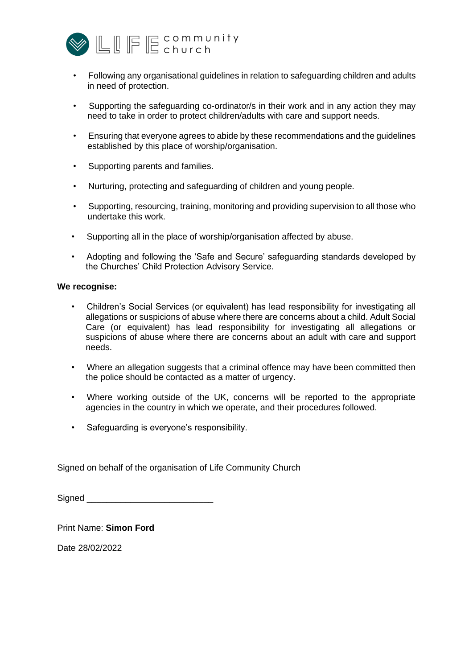

- Following any organisational guidelines in relation to safeguarding children and adults in need of protection.
- Supporting the safeguarding co-ordinator/s in their work and in any action they may need to take in order to protect children/adults with care and support needs.
- Ensuring that everyone agrees to abide by these recommendations and the guidelines established by this place of worship/organisation.
- Supporting parents and families.
- Nurturing, protecting and safeguarding of children and young people.
- Supporting, resourcing, training, monitoring and providing supervision to all those who undertake this work.
- Supporting all in the place of worship/organisation affected by abuse.
- Adopting and following the 'Safe and Secure' safeguarding standards developed by the Churches' Child Protection Advisory Service.

#### **We recognise:**

- Children's Social Services (or equivalent) has lead responsibility for investigating all allegations or suspicions of abuse where there are concerns about a child. Adult Social Care (or equivalent) has lead responsibility for investigating all allegations or suspicions of abuse where there are concerns about an adult with care and support needs.
- Where an allegation suggests that a criminal offence may have been committed then the police should be contacted as a matter of urgency.
- Where working outside of the UK, concerns will be reported to the appropriate agencies in the country in which we operate, and their procedures followed.
- Safeguarding is everyone's responsibility.

Signed on behalf of the organisation of Life Community Church

Signed **and** 

Print Name: **Simon Ford**

Date 28/02/2022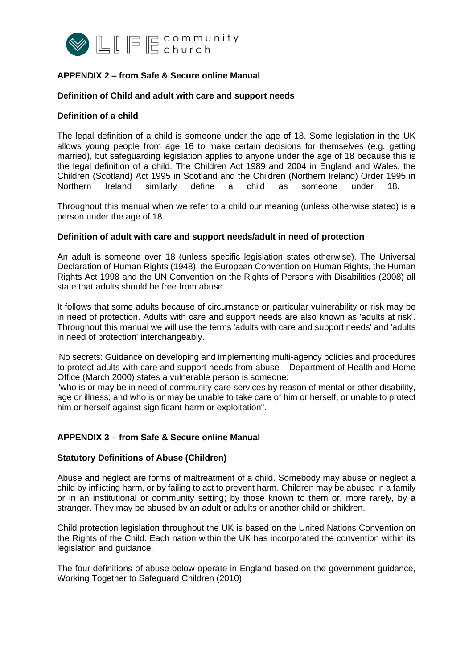

# **APPENDIX 2 – from Safe & Secure online Manual**

#### **Definition of Child and adult with care and support needs**

#### **Definition of a child**

The legal definition of a child is someone under the age of 18. Some legislation in the UK allows young people from age 16 to make certain decisions for themselves (e.g. getting married), but safeguarding legislation applies to anyone under the age of 18 because this is the legal definition of a child. The Children Act 1989 and 2004 in England and Wales, the Children (Scotland) Act 1995 in Scotland and the Children (Northern Ireland) Order 1995 in Northern Ireland similarly define a child as someone under 18.

Throughout this manual when we refer to a child our meaning (unless otherwise stated) is a person under the age of 18.

#### **Definition of adult with care and support needs/adult in need of protection**

An adult is someone over 18 (unless specific legislation states otherwise). The Universal Declaration of Human Rights (1948), the European Convention on Human Rights, the Human Rights Act 1998 and the UN Convention on the Rights of Persons with Disabilities (2008) all state that adults should be free from abuse.

It follows that some adults because of circumstance or particular vulnerability or risk may be in need of protection. Adults with care and support needs are also known as 'adults at risk'. Throughout this manual we will use the terms 'adults with care and support needs' and 'adults in need of protection' interchangeably.

'No secrets: Guidance on developing and implementing multi-agency policies and procedures to protect adults with care and support needs from abuse' - Department of Health and Home Office (March 2000) states a vulnerable person is someone:

"who is or may be in need of community care services by reason of mental or other disability, age or illness; and who is or may be unable to take care of him or herself, or unable to protect him or herself against significant harm or exploitation".

#### **APPENDIX 3 – from Safe & Secure online Manual**

#### **Statutory Definitions of Abuse (Children)**

Abuse and neglect are forms of maltreatment of a child. Somebody may abuse or neglect a child by inflicting harm, or by failing to act to prevent harm. Children may be abused in a family or in an institutional or community setting; by those known to them or, more rarely, by a stranger. They may be abused by an adult or adults or another child or children.

Child protection legislation throughout the UK is based on the United Nations Convention on the Rights of the Child. Each nation within the UK has incorporated the convention within its legislation and guidance.

The four definitions of abuse below operate in England based on the government guidance, Working Together to Safeguard Children (2010).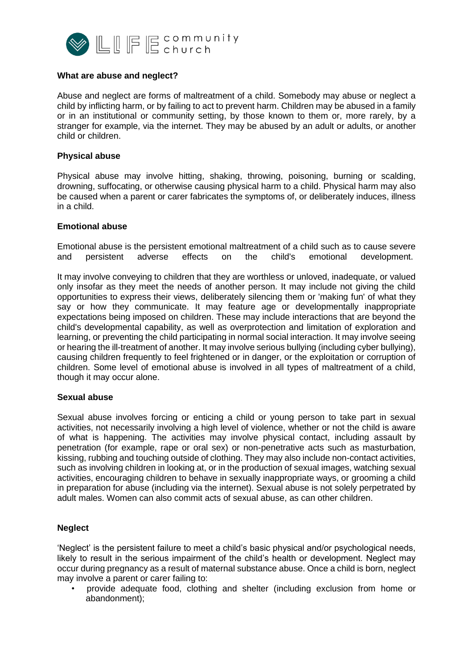

#### **What are abuse and neglect?**

Abuse and neglect are forms of maltreatment of a child. Somebody may abuse or neglect a child by inflicting harm, or by failing to act to prevent harm. Children may be abused in a family or in an institutional or community setting, by those known to them or, more rarely, by a stranger for example, via the internet. They may be abused by an adult or adults, or another child or children.

## **Physical abuse**

Physical abuse may involve hitting, shaking, throwing, poisoning, burning or scalding, drowning, suffocating, or otherwise causing physical harm to a child. Physical harm may also be caused when a parent or carer fabricates the symptoms of, or deliberately induces, illness in a child.

#### **Emotional abuse**

Emotional abuse is the persistent emotional maltreatment of a child such as to cause severe and persistent adverse effects on the child's emotional development.

It may involve conveying to children that they are worthless or unloved, inadequate, or valued only insofar as they meet the needs of another person. It may include not giving the child opportunities to express their views, deliberately silencing them or 'making fun' of what they say or how they communicate. It may feature age or developmentally inappropriate expectations being imposed on children. These may include interactions that are beyond the child's developmental capability, as well as overprotection and limitation of exploration and learning, or preventing the child participating in normal social interaction. It may involve seeing or hearing the ill-treatment of another. It may involve serious bullying (including cyber bullying), causing children frequently to feel frightened or in danger, or the exploitation or corruption of children. Some level of emotional abuse is involved in all types of maltreatment of a child, though it may occur alone.

# **Sexual abuse**

Sexual abuse involves forcing or enticing a child or young person to take part in sexual activities, not necessarily involving a high level of violence, whether or not the child is aware of what is happening. The activities may involve physical contact, including assault by penetration (for example, rape or oral sex) or non-penetrative acts such as masturbation, kissing, rubbing and touching outside of clothing. They may also include non-contact activities, such as involving children in looking at, or in the production of sexual images, watching sexual activities, encouraging children to behave in sexually inappropriate ways, or grooming a child in preparation for abuse (including via the internet). Sexual abuse is not solely perpetrated by adult males. Women can also commit acts of sexual abuse, as can other children.

# **Neglect**

'Neglect' is the persistent failure to meet a child's basic physical and/or psychological needs, likely to result in the serious impairment of the child's health or development. Neglect may occur during pregnancy as a result of maternal substance abuse. Once a child is born, neglect may involve a parent or carer failing to:

• provide adequate food, clothing and shelter (including exclusion from home or abandonment);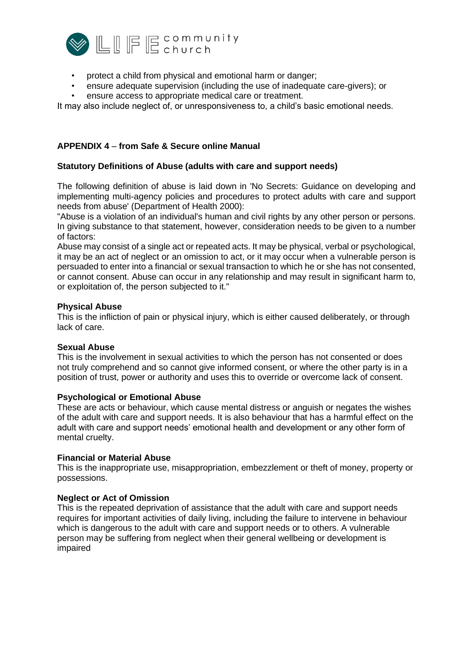

- protect a child from physical and emotional harm or danger;
- ensure adequate supervision (including the use of inadequate care-givers); or
- ensure access to appropriate medical care or treatment.

It may also include neglect of, or unresponsiveness to, a child's basic emotional needs.

# **APPENDIX 4** – **from Safe & Secure online Manual**

#### **Statutory Definitions of Abuse (adults with care and support needs)**

The following definition of abuse is laid down in 'No Secrets: Guidance on developing and implementing multi-agency policies and procedures to protect adults with care and support needs from abuse' (Department of Health 2000):

"Abuse is a violation of an individual's human and civil rights by any other person or persons. In giving substance to that statement, however, consideration needs to be given to a number of factors:

Abuse may consist of a single act or repeated acts. It may be physical, verbal or psychological, it may be an act of neglect or an omission to act, or it may occur when a vulnerable person is persuaded to enter into a financial or sexual transaction to which he or she has not consented, or cannot consent. Abuse can occur in any relationship and may result in significant harm to, or exploitation of, the person subjected to it."

#### **Physical Abuse**

This is the infliction of pain or physical injury, which is either caused deliberately, or through lack of care.

#### **Sexual Abuse**

This is the involvement in sexual activities to which the person has not consented or does not truly comprehend and so cannot give informed consent, or where the other party is in a position of trust, power or authority and uses this to override or overcome lack of consent.

#### **Psychological or Emotional Abuse**

These are acts or behaviour, which cause mental distress or anguish or negates the wishes of the adult with care and support needs. It is also behaviour that has a harmful effect on the adult with care and support needs' emotional health and development or any other form of mental cruelty.

#### **Financial or Material Abuse**

This is the inappropriate use, misappropriation, embezzlement or theft of money, property or possessions.

#### **Neglect or Act of Omission**

This is the repeated deprivation of assistance that the adult with care and support needs requires for important activities of daily living, including the failure to intervene in behaviour which is dangerous to the adult with care and support needs or to others. A vulnerable person may be suffering from neglect when their general wellbeing or development is impaired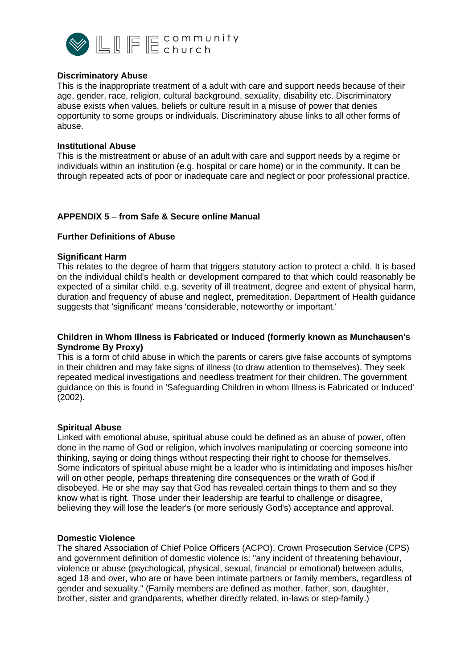

#### **Discriminatory Abuse**

This is the inappropriate treatment of a adult with care and support needs because of their age, gender, race, religion, cultural background, sexuality, disability etc. Discriminatory abuse exists when values, beliefs or culture result in a misuse of power that denies opportunity to some groups or individuals. Discriminatory abuse links to all other forms of abuse.

#### **Institutional Abuse**

This is the mistreatment or abuse of an adult with care and support needs by a regime or individuals within an institution (e.g. hospital or care home) or in the community. It can be through repeated acts of poor or inadequate care and neglect or poor professional practice.

#### **APPENDIX 5** – **from Safe & Secure online Manual**

#### **Further Definitions of Abuse**

#### **Significant Harm**

This relates to the degree of harm that triggers statutory action to protect a child. It is based on the individual child's health or development compared to that which could reasonably be expected of a similar child. e.g. severity of ill treatment, degree and extent of physical harm, duration and frequency of abuse and neglect, premeditation. Department of Health guidance suggests that 'significant' means 'considerable, noteworthy or important.'

#### **Children in Whom Illness is Fabricated or Induced (formerly known as Munchausen's Syndrome By Proxy)**

This is a form of child abuse in which the parents or carers give false accounts of symptoms in their children and may fake signs of illness (to draw attention to themselves). They seek repeated medical investigations and needless treatment for their children. The government guidance on this is found in 'Safeguarding Children in whom Illness is Fabricated or Induced' (2002).

#### **Spiritual Abuse**

Linked with emotional abuse, spiritual abuse could be defined as an abuse of power, often done in the name of God or religion, which involves manipulating or coercing someone into thinking, saying or doing things without respecting their right to choose for themselves. Some indicators of spiritual abuse might be a leader who is intimidating and imposes his/her will on other people, perhaps threatening dire consequences or the wrath of God if disobeyed. He or she may say that God has revealed certain things to them and so they know what is right. Those under their leadership are fearful to challenge or disagree, believing they will lose the leader's (or more seriously God's) acceptance and approval.

#### **Domestic Violence**

The shared Association of Chief Police Officers (ACPO), Crown Prosecution Service (CPS) and government definition of domestic violence is: "any incident of threatening behaviour, violence or abuse (psychological, physical, sexual, financial or emotional) between adults, aged 18 and over, who are or have been intimate partners or family members, regardless of gender and sexuality." (Family members are defined as mother, father, son, daughter, brother, sister and grandparents, whether directly related, in-laws or step-family.)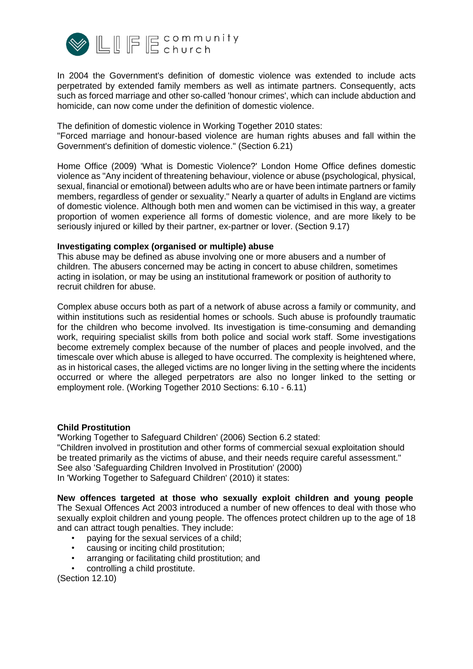

In 2004 the Government's definition of domestic violence was extended to include acts perpetrated by extended family members as well as intimate partners. Consequently, acts such as forced marriage and other so-called 'honour crimes', which can include abduction and homicide, can now come under the definition of domestic violence.

The definition of domestic violence in Working Together 2010 states:

"Forced marriage and honour-based violence are human rights abuses and fall within the Government's definition of domestic violence." (Section 6.21)

Home Office (2009) 'What is Domestic Violence?' London Home Office defines domestic violence as "Any incident of threatening behaviour, violence or abuse (psychological, physical, sexual, financial or emotional) between adults who are or have been intimate partners or family members, regardless of gender or sexuality." Nearly a quarter of adults in England are victims of domestic violence. Although both men and women can be victimised in this way, a greater proportion of women experience all forms of domestic violence, and are more likely to be seriously injured or killed by their partner, ex-partner or lover. (Section 9.17)

#### **Investigating complex (organised or multiple) abuse**

This abuse may be defined as abuse involving one or more abusers and a number of children. The abusers concerned may be acting in concert to abuse children, sometimes acting in isolation, or may be using an institutional framework or position of authority to recruit children for abuse.

Complex abuse occurs both as part of a network of abuse across a family or community, and within institutions such as residential homes or schools. Such abuse is profoundly traumatic for the children who become involved. Its investigation is time-consuming and demanding work, requiring specialist skills from both police and social work staff. Some investigations become extremely complex because of the number of places and people involved, and the timescale over which abuse is alleged to have occurred. The complexity is heightened where, as in historical cases, the alleged victims are no longer living in the setting where the incidents occurred or where the alleged perpetrators are also no longer linked to the setting or employment role. (Working Together 2010 Sections: 6.10 - 6.11)

#### **Child Prostitution**

**'**Working Together to Safeguard Children' (2006) Section 6.2 stated: "Children involved in prostitution and other forms of commercial sexual exploitation should be treated primarily as the victims of abuse, and their needs require careful assessment." See also 'Safeguarding Children Involved in Prostitution' (2000) In 'Working Together to Safeguard Children' (2010) it states:

**New offences targeted at those who sexually exploit children and young people** The Sexual Offences Act 2003 introduced a number of new offences to deal with those who sexually exploit children and young people. The offences protect children up to the age of 18 and can attract tough penalties. They include:

- paying for the sexual services of a child;
- causing or inciting child prostitution;
- arranging or facilitating child prostitution; and
- controlling a child prostitute.

(Section 12.10)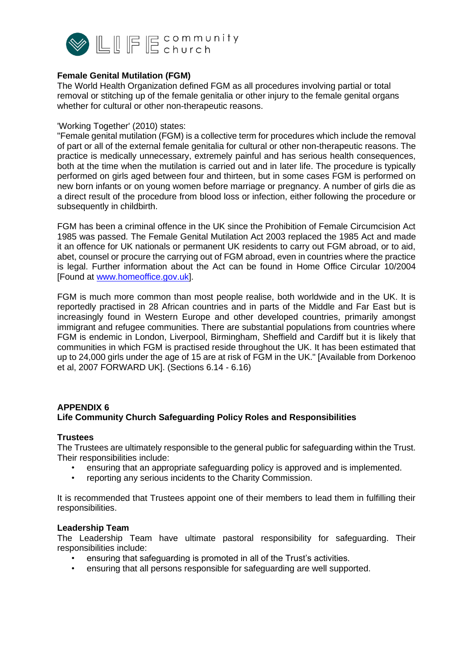

### **Female Genital Mutilation (FGM)**

The World Health Organization defined FGM as all procedures involving partial or total removal or stitching up of the female genitalia or other injury to the female genital organs whether for cultural or other non-therapeutic reasons.

#### 'Working Together' (2010) states:

"Female genital mutilation (FGM) is a collective term for procedures which include the removal of part or all of the external female genitalia for cultural or other non-therapeutic reasons. The practice is medically unnecessary, extremely painful and has serious health consequences, both at the time when the mutilation is carried out and in later life. The procedure is typically performed on girls aged between four and thirteen, but in some cases FGM is performed on new born infants or on young women before marriage or pregnancy. A number of girls die as a direct result of the procedure from blood loss or infection, either following the procedure or subsequently in childbirth.

FGM has been a criminal offence in the UK since the Prohibition of Female Circumcision Act 1985 was passed. The Female Genital Mutilation Act 2003 replaced the 1985 Act and made it an offence for UK nationals or permanent UK residents to carry out FGM abroad, or to aid, abet, counsel or procure the carrying out of FGM abroad, even in countries where the practice is legal. Further information about the Act can be found in Home Office Circular 10/2004 [Found at [www.homeoffice.gov.uk\]](https://web.nhs.net/OWA/redir.aspx?SURL=lxVRIHZbS5OXZH_pHVj9T52S1VUx-nhU0zSo-YT5i3dEwMmV7V7TCGgAdAB0AHAAOgAvAC8AdwB3AHcALgBoAG8AbQBlAG8AZgBmAGkAYwBlAC4AZwBvAHYALgB1AGsALwA.&URL=http%3A%2F%2Fwww.homeoffice.gov.uk%2F).

FGM is much more common than most people realise, both worldwide and in the UK. It is reportedly practised in 28 African countries and in parts of the Middle and Far East but is increasingly found in Western Europe and other developed countries, primarily amongst immigrant and refugee communities. There are substantial populations from countries where FGM is endemic in London, Liverpool, Birmingham, Sheffield and Cardiff but it is likely that communities in which FGM is practised reside throughout the UK. It has been estimated that up to 24,000 girls under the age of 15 are at risk of FGM in the UK." [Available from Dorkenoo et al, 2007 FORWARD UK]. (Sections 6.14 - 6.16)

## **APPENDIX 6 Life Community Church Safeguarding Policy Roles and Responsibilities**

#### **Trustees**

The Trustees are ultimately responsible to the general public for safeguarding within the Trust. Their responsibilities include:

- ensuring that an appropriate safeguarding policy is approved and is implemented.
- reporting any serious incidents to the Charity Commission.

It is recommended that Trustees appoint one of their members to lead them in fulfilling their responsibilities.

#### **Leadership Team**

The Leadership Team have ultimate pastoral responsibility for safeguarding. Their responsibilities include:

- ensuring that safeguarding is promoted in all of the Trust's activities.
- ensuring that all persons responsible for safeguarding are well supported.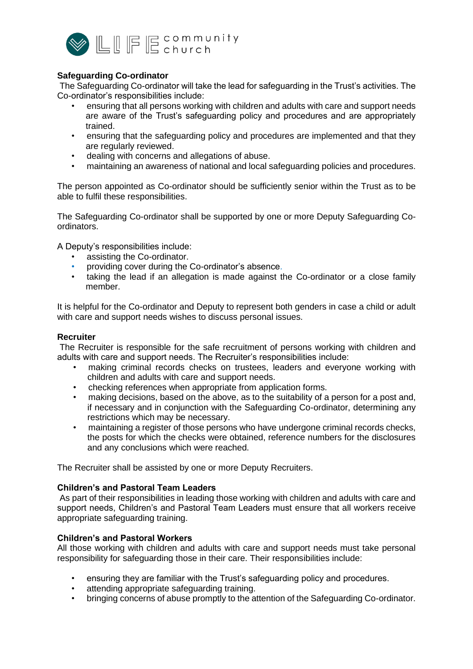

# **Safeguarding Co-ordinator**

The Safeguarding Co-ordinator will take the lead for safeguarding in the Trust's activities. The Co-ordinator's responsibilities include:

- ensuring that all persons working with children and adults with care and support needs are aware of the Trust's safeguarding policy and procedures and are appropriately trained.
- ensuring that the safeguarding policy and procedures are implemented and that they are regularly reviewed.
- dealing with concerns and allegations of abuse.
- maintaining an awareness of national and local safeguarding policies and procedures.

The person appointed as Co-ordinator should be sufficiently senior within the Trust as to be able to fulfil these responsibilities.

The Safeguarding Co-ordinator shall be supported by one or more Deputy Safeguarding Coordinators.

A Deputy's responsibilities include:

- assisting the Co-ordinator.
- providing cover during the Co-ordinator's absence.
- taking the lead if an allegation is made against the Co-ordinator or a close family member.

It is helpful for the Co-ordinator and Deputy to represent both genders in case a child or adult with care and support needs wishes to discuss personal issues.

#### **Recruiter**

The Recruiter is responsible for the safe recruitment of persons working with children and adults with care and support needs. The Recruiter's responsibilities include:

- making criminal records checks on trustees, leaders and everyone working with children and adults with care and support needs.
- checking references when appropriate from application forms.
- making decisions, based on the above, as to the suitability of a person for a post and, if necessary and in conjunction with the Safeguarding Co-ordinator, determining any restrictions which may be necessary.
- maintaining a register of those persons who have undergone criminal records checks, the posts for which the checks were obtained, reference numbers for the disclosures and any conclusions which were reached.

The Recruiter shall be assisted by one or more Deputy Recruiters.

#### **Children's and Pastoral Team Leaders**

As part of their responsibilities in leading those working with children and adults with care and support needs, Children's and Pastoral Team Leaders must ensure that all workers receive appropriate safeguarding training.

#### **Children's and Pastoral Workers**

All those working with children and adults with care and support needs must take personal responsibility for safeguarding those in their care. Their responsibilities include:

- ensuring they are familiar with the Trust's safeguarding policy and procedures.
- attending appropriate safeguarding training.
- bringing concerns of abuse promptly to the attention of the Safeguarding Co-ordinator.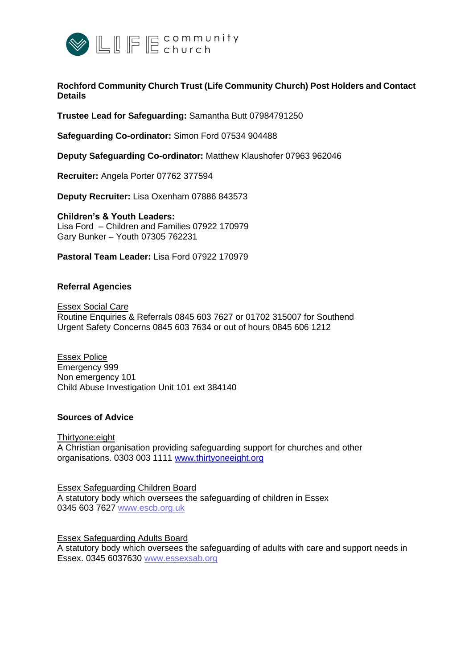

**Rochford Community Church Trust (Life Community Church) Post Holders and Contact Details**

**Trustee Lead for Safeguarding:** Samantha Butt 07984791250

**Safeguarding Co-ordinator:** Simon Ford 07534 904488

**Deputy Safeguarding Co-ordinator:** Matthew Klaushofer 07963 962046

**Recruiter:** Angela Porter 07762 377594

**Deputy Recruiter:** Lisa Oxenham 07886 843573

**Children's & Youth Leaders:** Lisa Ford – Children and Families 07922 170979 Gary Bunker – Youth 07305 762231

**Pastoral Team Leader:** Lisa Ford 07922 170979

#### **Referral Agencies**

Essex Social Care Routine Enquiries & Referrals 0845 603 7627 or 01702 315007 for Southend Urgent Safety Concerns 0845 603 7634 or out of hours 0845 606 1212

Essex Police Emergency 999 Non emergency 101 Child Abuse Investigation Unit 101 ext 384140

#### **Sources of Advice**

Thirtyone:eight A Christian organisation providing safeguarding support for churches and other organisations. 0303 003 1111 [www.thirtyoneeight.org](http://www.thirtyoneeight.org/)

Essex Safeguarding Children Board A statutory body which oversees the safeguarding of children in Essex 0345 603 7627 [www.escb.org.uk](https://web.nhs.net/OWA/redir.aspx?SURL=tn6mq9ljKfOxlijBNVRc0TkkJIQtHcbbn3VLBpwuvy1EwMmV7V7TCGgAdAB0AHAAOgAvAC8AdwB3AHcALgBlAHMAYwBiAC4AbwByAGcALgB1AGsALwA.&URL=http%3A%2F%2Fwww.escb.org.uk%2F)

Essex Safeguarding Adults Board

A statutory body which oversees the safeguarding of adults with care and support needs in Essex. 0345 6037630 [www.essexsab.org](https://web.nhs.net/OWA/redir.aspx?SURL=jVCx434DgRvop4jh4foF2snL3Fb1Gi_TZbj17QkR3otEwMmV7V7TCGgAdAB0AHAAOgAvAC8AdwB3AHcALgBlAHMAcwBlAHgAcwBhAGIALgBvAHIAZwAvAA..&URL=http%3A%2F%2Fwww.essexsab.org%2F)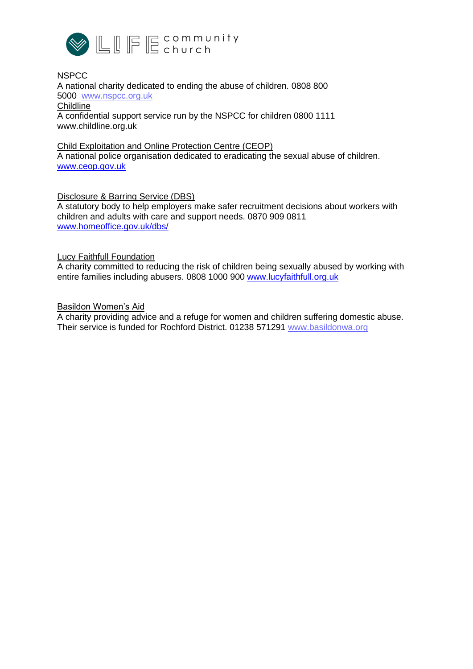

#### NSPCC A national charity dedicated to ending the abuse of children. 0808 800 5000 [www.nspcc.org.uk](https://web.nhs.net/OWA/redir.aspx?SURL=dkhO2HJFPbF4F4eujL-KHfJfu74ZtTACAMatvk6ma_FEwMmV7V7TCGgAdAB0AHAAOgAvAC8AdwB3AHcALgBuAHMAcABjAGMALgBvAHIAZwAuAHUAawAvAA..&URL=http%3A%2F%2Fwww.nspcc.org.uk%2F) **Childline** A confidential support service run by the NSPCC for children 0800 1111 www.childline.org.uk

Child Exploitation and Online Protection Centre (CEOP) A national police organisation dedicated to eradicating the sexual abuse of children. [www.ceop.gov.uk](http://www.ceop.gov.uk/)

Disclosure & Barring Service (DBS)

A statutory body to help employers make safer recruitment decisions about workers with children and adults with care and support needs. 0870 909 0811 [www.homeoffice.gov.uk/dbs/](https://web.nhs.net/OWA/redir.aspx?SURL=2X0twJ2jAjZNDcUvojzU6AgSGM1ZzC7RtKhfsraqLnFEwMmV7V7TCGgAdAB0AHAAOgAvAC8AdwB3AHcALgBoAG8AbQBlAG8AZgBmAGkAYwBlAC4AZwBvAHYALgB1AGsALwBkAGIAcwAvAA..&URL=http%3A%2F%2Fwww.homeoffice.gov.uk%2Fdbs%2F)

#### Lucy Faithfull Foundation

A charity committed to reducing the risk of children being sexually abused by working with entire families including abusers. 0808 1000 900 [www.lucyfaithfull.org.uk](https://web.nhs.net/OWA/redir.aspx?SURL=JigNSotiMV93QqZhx01aThRRBRRLIVXvqydtsC7y3ghEwMmV7V7TCGgAdAB0AHAAOgAvAC8AdwB3AHcALgBsAHUAYwB5AGYAYQBpAHQAaABmAHUAbABsAC4AbwByAGcALgB1AGsALwA.&URL=http%3A%2F%2Fwww.lucyfaithfull.org.uk%2F)

Basildon Women's Aid

A charity providing advice and a refuge for women and children suffering domestic abuse. Their service is funded for Rochford District. 01238 571291 [www.basildonwa.org](https://web.nhs.net/OWA/redir.aspx?SURL=g0e8f-G5urOS8kV0yC9OnOm5HsIDM0VR2dscAN692DREwMmV7V7TCGgAdAB0AHAAOgAvAC8AdwB3AHcALgBiAGEAcwBpAGwAZABvAG4AdwBhAC4AbwByAGcALwA.&URL=http%3A%2F%2Fwww.basildonwa.org%2F)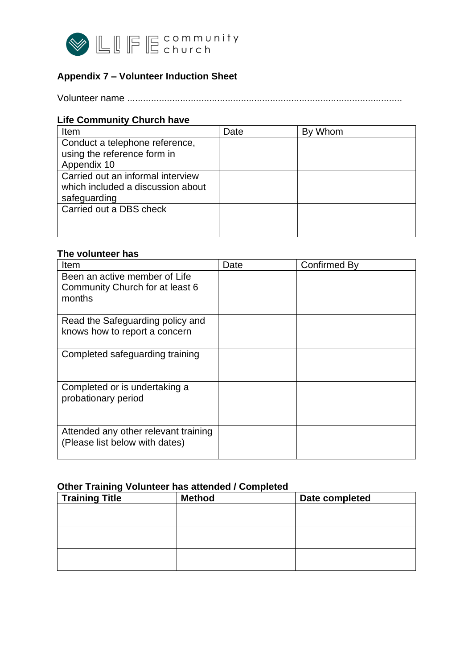

# **Appendix 7 – Volunteer Induction Sheet**

Volunteer name ........................................................................................................

# **Life Community Church have**

| Item                              | Date | By Whom |
|-----------------------------------|------|---------|
| Conduct a telephone reference,    |      |         |
| using the reference form in       |      |         |
| Appendix 10                       |      |         |
| Carried out an informal interview |      |         |
| which included a discussion about |      |         |
| safeguarding                      |      |         |
| Carried out a DBS check           |      |         |
|                                   |      |         |
|                                   |      |         |

# **The volunteer has**

| Item                                 | Date | Confirmed By |
|--------------------------------------|------|--------------|
| Been an active member of Life        |      |              |
| Community Church for at least 6      |      |              |
| months                               |      |              |
|                                      |      |              |
| Read the Safeguarding policy and     |      |              |
| knows how to report a concern        |      |              |
|                                      |      |              |
| Completed safeguarding training      |      |              |
|                                      |      |              |
| Completed or is undertaking a        |      |              |
| probationary period                  |      |              |
|                                      |      |              |
| Attended any other relevant training |      |              |
| (Please list below with dates)       |      |              |
|                                      |      |              |

# **Other Training Volunteer has attended / Completed**

| <b>Training Title</b> | <b>Method</b> | Date completed |
|-----------------------|---------------|----------------|
|                       |               |                |
|                       |               |                |
|                       |               |                |
|                       |               |                |
|                       |               |                |
|                       |               |                |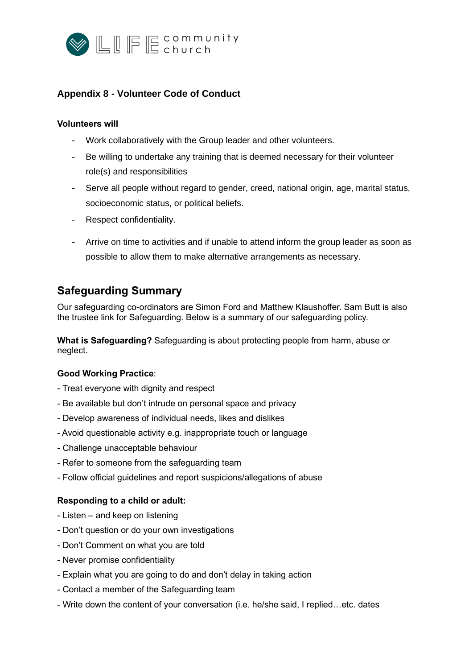

# **Appendix 8 - Volunteer Code of Conduct**

# **Volunteers will**

- Work collaboratively with the Group leader and other volunteers.
- Be willing to undertake any training that is deemed necessary for their volunteer role(s) and responsibilities
- Serve all people without regard to gender, creed, national origin, age, marital status, socioeconomic status, or political beliefs.
- Respect confidentiality.
- Arrive on time to activities and if unable to attend inform the group leader as soon as possible to allow them to make alternative arrangements as necessary.

# **Safeguarding Summary**

Our safeguarding co-ordinators are Simon Ford and Matthew Klaushoffer. Sam Butt is also the trustee link for Safeguarding. Below is a summary of our safeguarding policy.

**What is Safeguarding?** Safeguarding is about protecting people from harm, abuse or neglect.

# **Good Working Practice**:

- Treat everyone with dignity and respect
- Be available but don't intrude on personal space and privacy
- Develop awareness of individual needs, likes and dislikes
- Avoid questionable activity e.g. inappropriate touch or language
- Challenge unacceptable behaviour
- Refer to someone from the safeguarding team
- Follow official guidelines and report suspicions/allegations of abuse

# **Responding to a child or adult:**

- Listen and keep on listening
- Don't question or do your own investigations
- Don't Comment on what you are told
- Never promise confidentiality
- Explain what you are going to do and don't delay in taking action
- Contact a member of the Safeguarding team
- Write down the content of your conversation (i.e. he/she said, I replied…etc. dates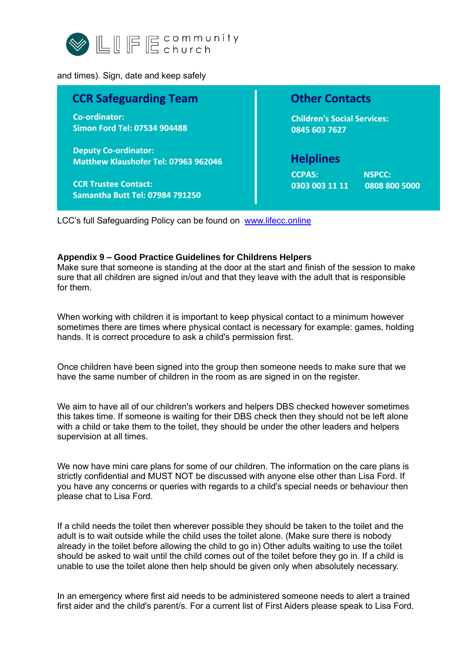

#### and times). Sign, date and keep safely

| <b>CCR Safeguarding Team</b>                                          | <b>Other Contacts</b>                                             |
|-----------------------------------------------------------------------|-------------------------------------------------------------------|
| Co-ordinator:<br><b>Simon Ford Tel: 07534 904488</b>                  | <b>Children's Social Services:</b><br>0845 603 7627               |
| <b>Deputy Co-ordinator:</b><br>Matthew Klaushofer Tel: 07963 962046   | <b>Helplines</b>                                                  |
| <b>CCR Trustee Contact:</b><br><b>Samantha Butt Tel: 07984 791250</b> | <b>CCPAS:</b><br><b>NSPCC:</b><br>0808 800 5000<br>0303 003 11 11 |

LCC's full Safeguarding Policy can be found on [www.lifecc.online](http://www.lifecc.online/)

# **Appendix 9 – Good Practice Guidelines for Childrens Helpers**

Make sure that someone is standing at the door at the start and finish of the session to make sure that all children are signed in/out and that they leave with the adult that is responsible for them.

When working with children it is important to keep physical contact to a minimum however sometimes there are times where physical contact is necessary for example: games, holding hands. It is correct procedure to ask a child's permission first.

Once children have been signed into the group then someone needs to make sure that we have the same number of children in the room as are signed in on the register.

We aim to have all of our children's workers and helpers DBS checked however sometimes this takes time. If someone is waiting for their DBS check then they should not be left alone with a child or take them to the toilet, they should be under the other leaders and helpers supervision at all times.

We now have mini care plans for some of our children. The information on the care plans is strictly confidential and MUST NOT be discussed with anyone else other than Lisa Ford. If you have any concerns or queries with regards to a child's special needs or behaviour then please chat to Lisa Ford.

If a child needs the toilet then wherever possible they should be taken to the toilet and the adult is to wait outside while the child uses the toilet alone. (Make sure there is nobody already in the toilet before allowing the child to go in) Other adults waiting to use the toilet should be asked to wait until the child comes out of the toilet before they go in. If a child is unable to use the toilet alone then help should be given only when absolutely necessary.

In an emergency where first aid needs to be administered someone needs to alert a trained first aider and the child's parent/s. For a current list of First Aiders please speak to Lisa Ford.